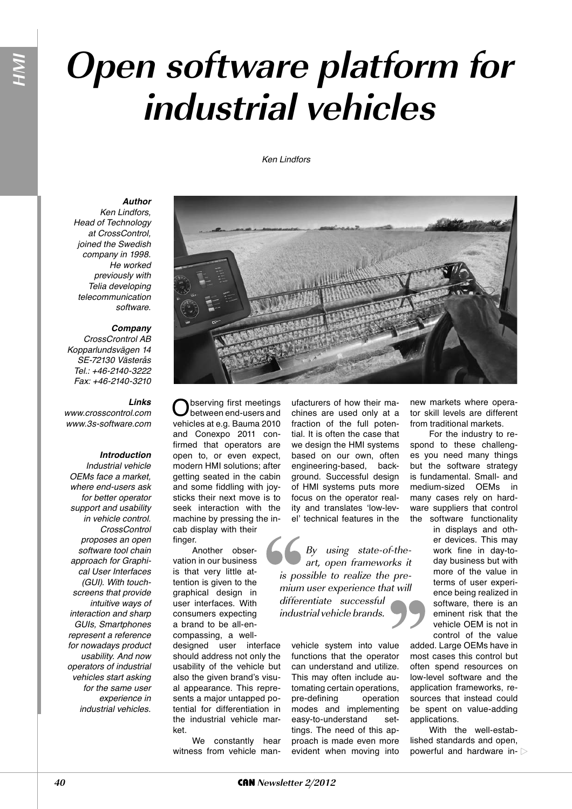# **Open software platform for industrial vehicles**

#### Ken Lindfors



*Author*

Ken Lindfors, Head of Technology at CrossControl, joined the Swedish company in 1998. He worked previously with Telia developing telecommunication software.

#### *Company*

CrossCrontrol AB Kopparlundsvägen 14 SE-72130 Västerås Tel.: +46-2140-3222 Fax: +46-2140-3210

### *Links*

www.crosscontrol.com www.3s-software.com

#### *Introduction*

Industrial vehicle OEMs face a market, where end-users ask for better operator support and usability in vehicle control. CrossControl proposes an open software tool chain approach for Graphical User Interfaces (GUI). With touchscreens that provide intuitive ways of interaction and sharp GUIs, Smartphones represent a reference for nowadays product usability. And now operators of industrial vehicles start asking for the same user experience in industrial vehicles.

bserving first meetings between end-users and vehicles at e.g. Bauma 2010 and Conexpo 2011 confirmed that operators are open to, or even expect, modern HMI solutions; after getting seated in the cabin and some fiddling with joysticks their next move is to seek interaction with the machine by pressing the incab display with their

finger. Another observation in our business is that very little attention is given to the graphical design in user interfaces. With consumers expecting a brand to be all-encompassing, a welldesigned user interface should address not only the usability of the vehicle but also the given brand's visual appearance. This represents a major untapped potential for differentiation in the industrial vehicle market.

We constantly hear witness from vehicle manufacturers of how their machines are used only at a fraction of the full potential. It is often the case that we design the HMI systems based on our own, often engineering-based, background. Successful design of HMI systems puts more focus on the operator reality and translates 'low-level' technical features in the

By using state-of-theart, open frameworks it is possible to realize the premium user experience that will differentiate successful industrial vehicle brands.

vehicle system into value functions that the operator can understand and utilize. This may often include automating certain operations, pre-defining operation modes and implementing easy-to-understand settings. The need of this approach is made even more evident when moving into

new markets where operator skill levels are different from traditional markets.

For the industry to respond to these challenges you need many things but the software strategy is fundamental. Small- and medium-sized OEMs in many cases rely on hardware suppliers that control the software functionality in displays and oth-

er devices. This may work fine in day-today business but with more of the value in terms of user experience being realized in software, there is an eminent risk that the vehicle OEM is not in control of the value

added. Large OEMs have in most cases this control but often spend resources on low-level software and the application frameworks, resources that instead could be spent on value-adding applications.

With the well-established standards and open, powerful and hardware in-